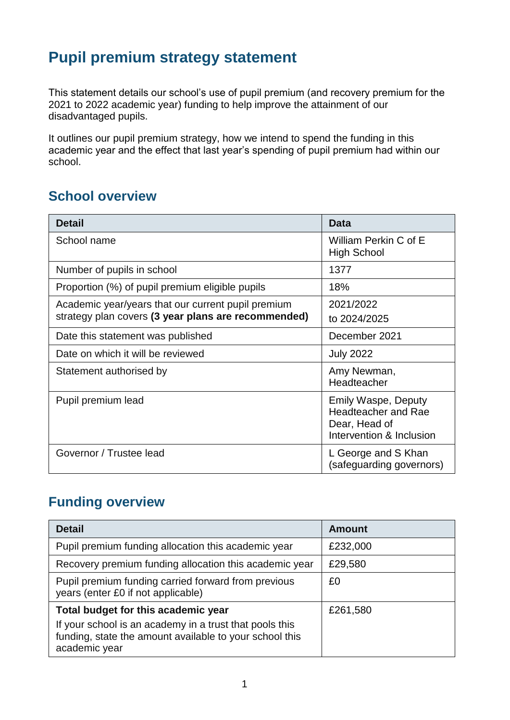### **Pupil premium strategy statement**

This statement details our school's use of pupil premium (and recovery premium for the 2021 to 2022 academic year) funding to help improve the attainment of our disadvantaged pupils.

It outlines our pupil premium strategy, how we intend to spend the funding in this academic year and the effect that last year's spending of pupil premium had within our school.

#### **School overview**

| <b>Detail</b>                                       | <b>Data</b>                                                                                           |
|-----------------------------------------------------|-------------------------------------------------------------------------------------------------------|
| School name                                         | William Perkin C of E<br><b>High School</b>                                                           |
| Number of pupils in school                          | 1377                                                                                                  |
| Proportion (%) of pupil premium eligible pupils     | 18%                                                                                                   |
| Academic year/years that our current pupil premium  | 2021/2022                                                                                             |
| strategy plan covers (3 year plans are recommended) | to 2024/2025                                                                                          |
| Date this statement was published                   | December 2021                                                                                         |
| Date on which it will be reviewed                   | <b>July 2022</b>                                                                                      |
| Statement authorised by                             | Amy Newman,<br>Headteacher                                                                            |
| Pupil premium lead                                  | <b>Emily Waspe, Deputy</b><br><b>Headteacher and Rae</b><br>Dear, Head of<br>Intervention & Inclusion |
| Governor / Trustee lead                             | L George and S Khan<br>(safeguarding governors)                                                       |

#### **Funding overview**

| <b>Detail</b>                                                                                                                       | <b>Amount</b> |
|-------------------------------------------------------------------------------------------------------------------------------------|---------------|
| Pupil premium funding allocation this academic year                                                                                 | £232,000      |
| Recovery premium funding allocation this academic year                                                                              | £29,580       |
| Pupil premium funding carried forward from previous<br>years (enter £0 if not applicable)                                           | £0            |
| Total budget for this academic year                                                                                                 | £261,580      |
| If your school is an academy in a trust that pools this<br>funding, state the amount available to your school this<br>academic year |               |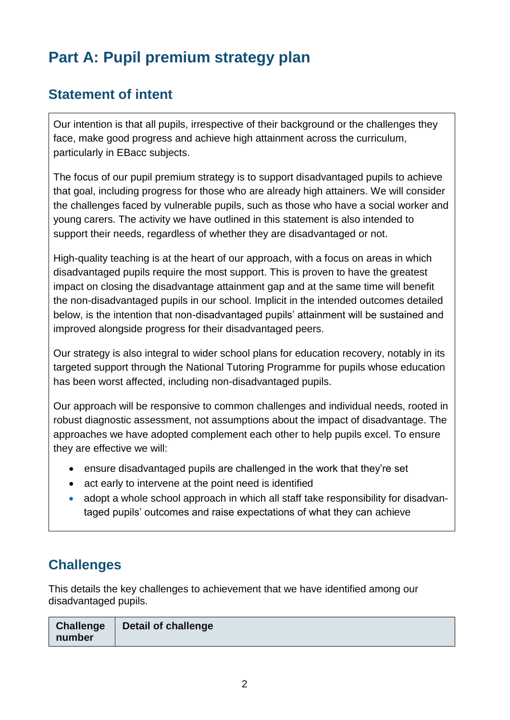# **Part A: Pupil premium strategy plan**

#### **Statement of intent**

Our intention is that all pupils, irrespective of their background or the challenges they face, make good progress and achieve high attainment across the curriculum, particularly in EBacc subjects.

The focus of our pupil premium strategy is to support disadvantaged pupils to achieve that goal, including progress for those who are already high attainers. We will consider the challenges faced by vulnerable pupils, such as those who have a social worker and young carers. The activity we have outlined in this statement is also intended to support their needs, regardless of whether they are disadvantaged or not.

High-quality teaching is at the heart of our approach, with a focus on areas in which disadvantaged pupils require the most support. This is proven to have the greatest impact on closing the disadvantage attainment gap and at the same time will benefit the non-disadvantaged pupils in our school. Implicit in the intended outcomes detailed below, is the intention that non-disadvantaged pupils' attainment will be sustained and improved alongside progress for their disadvantaged peers.

Our strategy is also integral to wider school plans for education recovery, notably in its targeted support through the National Tutoring Programme for pupils whose education has been worst affected, including non-disadvantaged pupils.

Our approach will be responsive to common challenges and individual needs, rooted in robust diagnostic assessment, not assumptions about the impact of disadvantage. The approaches we have adopted complement each other to help pupils excel. To ensure they are effective we will:

- ensure disadvantaged pupils are challenged in the work that they're set
- act early to intervene at the point need is identified
- adopt a whole school approach in which all staff take responsibility for disadvantaged pupils' outcomes and raise expectations of what they can achieve

### **Challenges**

This details the key challenges to achievement that we have identified among our disadvantaged pupils.

| <b>Challenge</b> | Detail of challenge |
|------------------|---------------------|
| number           |                     |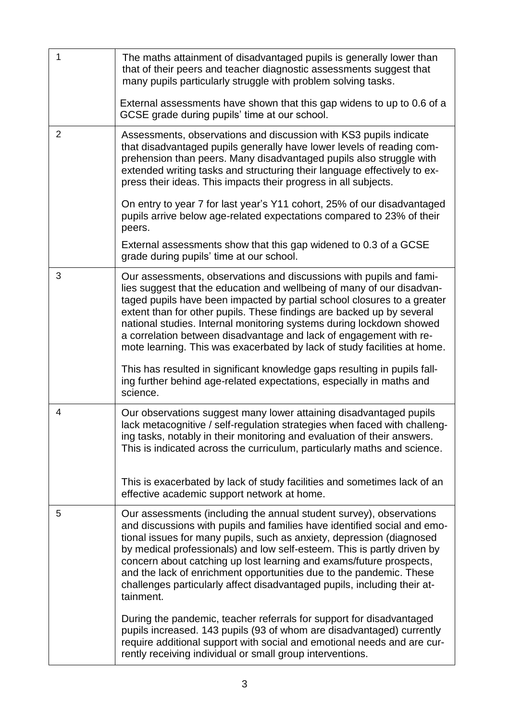| 1              | The maths attainment of disadvantaged pupils is generally lower than<br>that of their peers and teacher diagnostic assessments suggest that<br>many pupils particularly struggle with problem solving tasks.<br>External assessments have shown that this gap widens to up to 0.6 of a<br>GCSE grade during pupils' time at our school.                                                                                                                                                                                                    |
|----------------|--------------------------------------------------------------------------------------------------------------------------------------------------------------------------------------------------------------------------------------------------------------------------------------------------------------------------------------------------------------------------------------------------------------------------------------------------------------------------------------------------------------------------------------------|
| $\overline{2}$ | Assessments, observations and discussion with KS3 pupils indicate<br>that disadvantaged pupils generally have lower levels of reading com-<br>prehension than peers. Many disadvantaged pupils also struggle with<br>extended writing tasks and structuring their language effectively to ex-<br>press their ideas. This impacts their progress in all subjects.                                                                                                                                                                           |
|                | On entry to year 7 for last year's Y11 cohort, 25% of our disadvantaged<br>pupils arrive below age-related expectations compared to 23% of their<br>peers.                                                                                                                                                                                                                                                                                                                                                                                 |
|                | External assessments show that this gap widened to 0.3 of a GCSE<br>grade during pupils' time at our school.                                                                                                                                                                                                                                                                                                                                                                                                                               |
| 3              | Our assessments, observations and discussions with pupils and fami-<br>lies suggest that the education and wellbeing of many of our disadvan-<br>taged pupils have been impacted by partial school closures to a greater<br>extent than for other pupils. These findings are backed up by several<br>national studies. Internal monitoring systems during lockdown showed<br>a correlation between disadvantage and lack of engagement with re-<br>mote learning. This was exacerbated by lack of study facilities at home.                |
|                | This has resulted in significant knowledge gaps resulting in pupils fall-<br>ing further behind age-related expectations, especially in maths and<br>science.                                                                                                                                                                                                                                                                                                                                                                              |
| 4              | Our observations suggest many lower attaining disadvantaged pupils<br>lack metacognitive / self-regulation strategies when faced with challeng-<br>ing tasks, notably in their monitoring and evaluation of their answers.<br>This is indicated across the curriculum, particularly maths and science.                                                                                                                                                                                                                                     |
|                | This is exacerbated by lack of study facilities and sometimes lack of an<br>effective academic support network at home.                                                                                                                                                                                                                                                                                                                                                                                                                    |
| 5              | Our assessments (including the annual student survey), observations<br>and discussions with pupils and families have identified social and emo-<br>tional issues for many pupils, such as anxiety, depression (diagnosed<br>by medical professionals) and low self-esteem. This is partly driven by<br>concern about catching up lost learning and exams/future prospects,<br>and the lack of enrichment opportunities due to the pandemic. These<br>challenges particularly affect disadvantaged pupils, including their at-<br>tainment. |
|                | During the pandemic, teacher referrals for support for disadvantaged<br>pupils increased. 143 pupils (93 of whom are disadvantaged) currently<br>require additional support with social and emotional needs and are cur-<br>rently receiving individual or small group interventions.                                                                                                                                                                                                                                                      |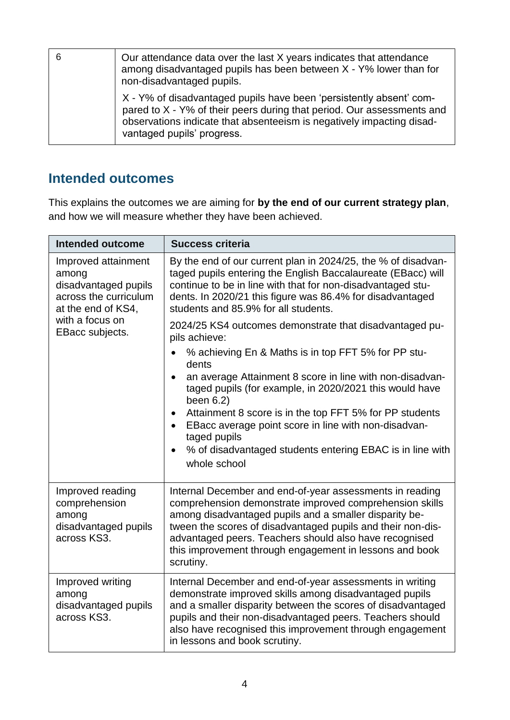| Our attendance data over the last X years indicates that attendance<br>among disadvantaged pupils has been between X - Y% lower than for<br>non-disadvantaged pupils.                                                                                |
|------------------------------------------------------------------------------------------------------------------------------------------------------------------------------------------------------------------------------------------------------|
| X - Y% of disadvantaged pupils have been 'persistently absent' com-<br>pared to X - Y% of their peers during that period. Our assessments and<br>observations indicate that absenteeism is negatively impacting disad-<br>vantaged pupils' progress. |

#### **Intended outcomes**

This explains the outcomes we are aiming for **by the end of our current strategy plan**, and how we will measure whether they have been achieved.

| <b>Intended outcome</b>                                                                             | <b>Success criteria</b>                                                                                                                                                                                                                                                                                                                                                        |
|-----------------------------------------------------------------------------------------------------|--------------------------------------------------------------------------------------------------------------------------------------------------------------------------------------------------------------------------------------------------------------------------------------------------------------------------------------------------------------------------------|
| Improved attainment<br>among<br>disadvantaged pupils<br>across the curriculum<br>at the end of KS4, | By the end of our current plan in 2024/25, the % of disadvan-<br>taged pupils entering the English Baccalaureate (EBacc) will<br>continue to be in line with that for non-disadvantaged stu-<br>dents. In 2020/21 this figure was 86.4% for disadvantaged<br>students and 85.9% for all students.                                                                              |
| with a focus on<br>EBacc subjects.                                                                  | 2024/25 KS4 outcomes demonstrate that disadvantaged pu-<br>pils achieve:                                                                                                                                                                                                                                                                                                       |
|                                                                                                     | % achieving En & Maths is in top FFT 5% for PP stu-<br>dents                                                                                                                                                                                                                                                                                                                   |
|                                                                                                     | an average Attainment 8 score in line with non-disadvan-<br>$\bullet$<br>taged pupils (for example, in 2020/2021 this would have<br>been $6.2$ )                                                                                                                                                                                                                               |
|                                                                                                     | Attainment 8 score is in the top FFT 5% for PP students<br>EBacc average point score in line with non-disadvan-<br>taged pupils                                                                                                                                                                                                                                                |
|                                                                                                     | % of disadvantaged students entering EBAC is in line with<br>whole school                                                                                                                                                                                                                                                                                                      |
| Improved reading<br>comprehension<br>among<br>disadvantaged pupils<br>across KS3.                   | Internal December and end-of-year assessments in reading<br>comprehension demonstrate improved comprehension skills<br>among disadvantaged pupils and a smaller disparity be-<br>tween the scores of disadvantaged pupils and their non-dis-<br>advantaged peers. Teachers should also have recognised<br>this improvement through engagement in lessons and book<br>scrutiny. |
| Improved writing<br>among<br>disadvantaged pupils<br>across KS3.                                    | Internal December and end-of-year assessments in writing<br>demonstrate improved skills among disadvantaged pupils<br>and a smaller disparity between the scores of disadvantaged<br>pupils and their non-disadvantaged peers. Teachers should<br>also have recognised this improvement through engagement<br>in lessons and book scrutiny.                                    |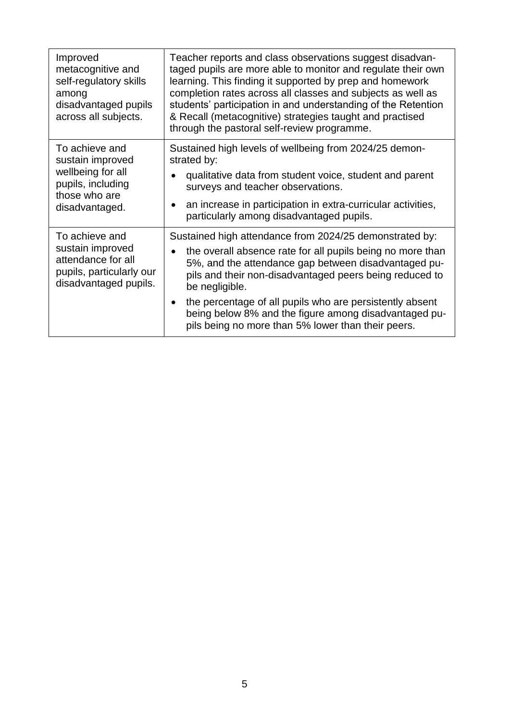| Improved<br>metacognitive and<br>self-regulatory skills<br>among<br>disadvantaged pupils<br>across all subjects. | Teacher reports and class observations suggest disadvan-<br>taged pupils are more able to monitor and regulate their own<br>learning. This finding it supported by prep and homework<br>completion rates across all classes and subjects as well as<br>students' participation in and understanding of the Retention<br>& Recall (metacognitive) strategies taught and practised<br>through the pastoral self-review programme.       |
|------------------------------------------------------------------------------------------------------------------|---------------------------------------------------------------------------------------------------------------------------------------------------------------------------------------------------------------------------------------------------------------------------------------------------------------------------------------------------------------------------------------------------------------------------------------|
| To achieve and<br>sustain improved<br>wellbeing for all<br>pupils, including<br>those who are<br>disadvantaged.  | Sustained high levels of wellbeing from 2024/25 demon-<br>strated by:<br>qualitative data from student voice, student and parent<br>surveys and teacher observations.<br>an increase in participation in extra-curricular activities,<br>particularly among disadvantaged pupils.                                                                                                                                                     |
| To achieve and<br>sustain improved<br>attendance for all<br>pupils, particularly our<br>disadvantaged pupils.    | Sustained high attendance from 2024/25 demonstrated by:<br>the overall absence rate for all pupils being no more than<br>5%, and the attendance gap between disadvantaged pu-<br>pils and their non-disadvantaged peers being reduced to<br>be negligible.<br>the percentage of all pupils who are persistently absent<br>being below 8% and the figure among disadvantaged pu-<br>pils being no more than 5% lower than their peers. |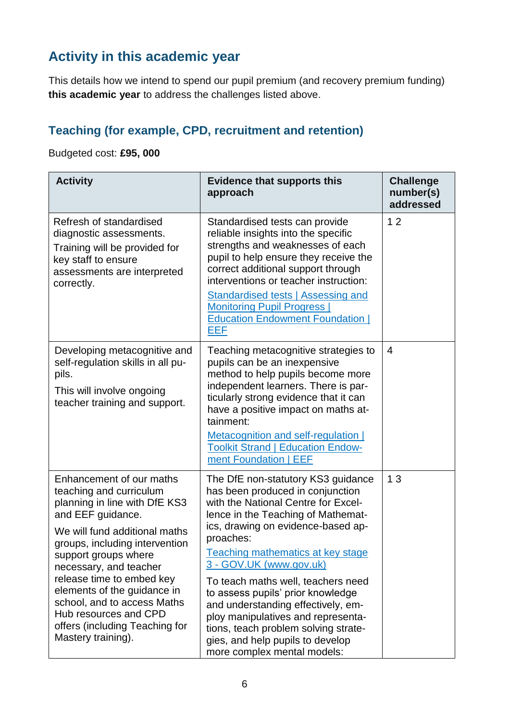#### **Activity in this academic year**

This details how we intend to spend our pupil premium (and recovery premium funding) **this academic year** to address the challenges listed above.

#### **Teaching (for example, CPD, recruitment and retention)**

#### Budgeted cost: **£95, 000**

| <b>Activity</b>                                                                                                                                                                                                                                                                                                                                                                                            | <b>Evidence that supports this</b><br>approach                                                                                                                                                                                                                                                                                                                                                                                                                                                                                                  | <b>Challenge</b><br>number(s)<br>addressed |
|------------------------------------------------------------------------------------------------------------------------------------------------------------------------------------------------------------------------------------------------------------------------------------------------------------------------------------------------------------------------------------------------------------|-------------------------------------------------------------------------------------------------------------------------------------------------------------------------------------------------------------------------------------------------------------------------------------------------------------------------------------------------------------------------------------------------------------------------------------------------------------------------------------------------------------------------------------------------|--------------------------------------------|
| Refresh of standardised<br>diagnostic assessments.<br>Training will be provided for<br>key staff to ensure<br>assessments are interpreted<br>correctly.                                                                                                                                                                                                                                                    | Standardised tests can provide<br>reliable insights into the specific<br>strengths and weaknesses of each<br>pupil to help ensure they receive the<br>correct additional support through<br>interventions or teacher instruction:<br><b>Standardised tests   Assessing and</b><br><b>Monitoring Pupil Progress  </b><br><b>Education Endowment Foundation  </b><br><b>EEF</b>                                                                                                                                                                   | 12                                         |
| Developing metacognitive and<br>self-regulation skills in all pu-<br>pils.<br>This will involve ongoing<br>teacher training and support.                                                                                                                                                                                                                                                                   | Teaching metacognitive strategies to<br>pupils can be an inexpensive<br>method to help pupils become more<br>independent learners. There is par-<br>ticularly strong evidence that it can<br>have a positive impact on maths at-<br>tainment:<br>Metacognition and self-regulation  <br><b>Toolkit Strand   Education Endow-</b><br>ment Foundation   EEF                                                                                                                                                                                       | 4                                          |
| Enhancement of our maths<br>teaching and curriculum<br>planning in line with DfE KS3<br>and EEF guidance.<br>We will fund additional maths<br>groups, including intervention<br>support groups where<br>necessary, and teacher<br>release time to embed key<br>elements of the guidance in<br>school, and to access Maths<br>Hub resources and CPD<br>offers (including Teaching for<br>Mastery training). | The DfE non-statutory KS3 guidance<br>has been produced in conjunction<br>with the National Centre for Excel-<br>lence in the Teaching of Mathemat-<br>ics, drawing on evidence-based ap-<br>proaches:<br><b>Teaching mathematics at key stage</b><br>3 - GOV.UK (www.gov.uk)<br>To teach maths well, teachers need<br>to assess pupils' prior knowledge<br>and understanding effectively, em-<br>ploy manipulatives and representa-<br>tions, teach problem solving strate-<br>gies, and help pupils to develop<br>more complex mental models: | 13                                         |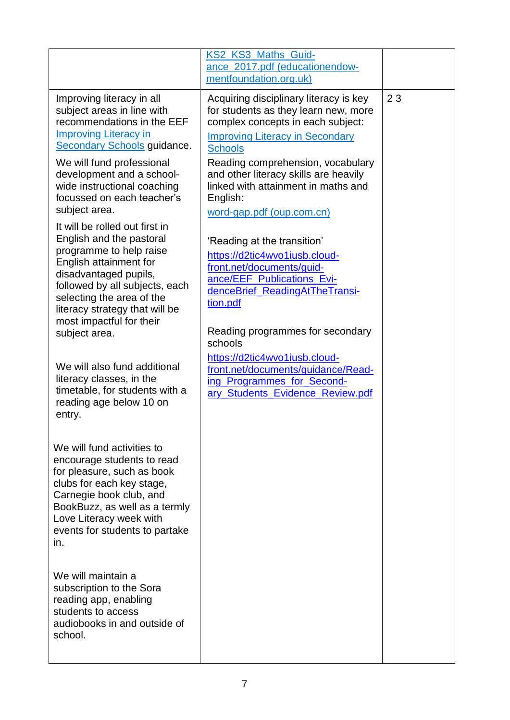|                                                                                                                                                                                                                                                                                                                                                                                                                                                                                                                                                                                               | KS2_KS3_Maths_Guid-<br>ance_2017.pdf (educationendow-<br>mentfoundation.org.uk)                                                                                                                                                                                                                                                                                                                                                                                                                                                                                       |    |
|-----------------------------------------------------------------------------------------------------------------------------------------------------------------------------------------------------------------------------------------------------------------------------------------------------------------------------------------------------------------------------------------------------------------------------------------------------------------------------------------------------------------------------------------------------------------------------------------------|-----------------------------------------------------------------------------------------------------------------------------------------------------------------------------------------------------------------------------------------------------------------------------------------------------------------------------------------------------------------------------------------------------------------------------------------------------------------------------------------------------------------------------------------------------------------------|----|
| Improving literacy in all<br>subject areas in line with<br>recommendations in the EEF<br><b>Improving Literacy in</b><br><b>Secondary Schools guidance.</b><br>We will fund professional<br>development and a school-<br>wide instructional coaching<br>focussed on each teacher's<br>subject area.<br>It will be rolled out first in<br>English and the pastoral<br>programme to help raise<br>English attainment for<br>disadvantaged pupils,<br>followed by all subjects, each<br>selecting the area of the<br>literacy strategy that will be<br>most impactful for their<br>subject area. | Acquiring disciplinary literacy is key<br>for students as they learn new, more<br>complex concepts in each subject:<br><b>Improving Literacy in Secondary</b><br><b>Schools</b><br>Reading comprehension, vocabulary<br>and other literacy skills are heavily<br>linked with attainment in maths and<br>English:<br>word-gap.pdf (oup.com.cn)<br>'Reading at the transition'<br>https://d2tic4wvo1iusb.cloud-<br>front.net/documents/guid-<br>ance/EEF_Publications_Evi-<br>denceBrief_ReadingAtTheTransi-<br>tion.pdf<br>Reading programmes for secondary<br>schools | 23 |
| We will also fund additional<br>literacy classes, in the<br>timetable, for students with a<br>reading age below 10 on<br>entry.                                                                                                                                                                                                                                                                                                                                                                                                                                                               | https://d2tic4wvo1iusb.cloud-<br>front.net/documents/guidance/Read-<br>ing Programmes for Second-<br>ary Students Evidence Review.pdf                                                                                                                                                                                                                                                                                                                                                                                                                                 |    |
| We will fund activities to<br>encourage students to read<br>for pleasure, such as book<br>clubs for each key stage,<br>Carnegie book club, and<br>BookBuzz, as well as a termly<br>Love Literacy week with<br>events for students to partake<br>in.                                                                                                                                                                                                                                                                                                                                           |                                                                                                                                                                                                                                                                                                                                                                                                                                                                                                                                                                       |    |
| We will maintain a<br>subscription to the Sora<br>reading app, enabling<br>students to access<br>audiobooks in and outside of<br>school.                                                                                                                                                                                                                                                                                                                                                                                                                                                      |                                                                                                                                                                                                                                                                                                                                                                                                                                                                                                                                                                       |    |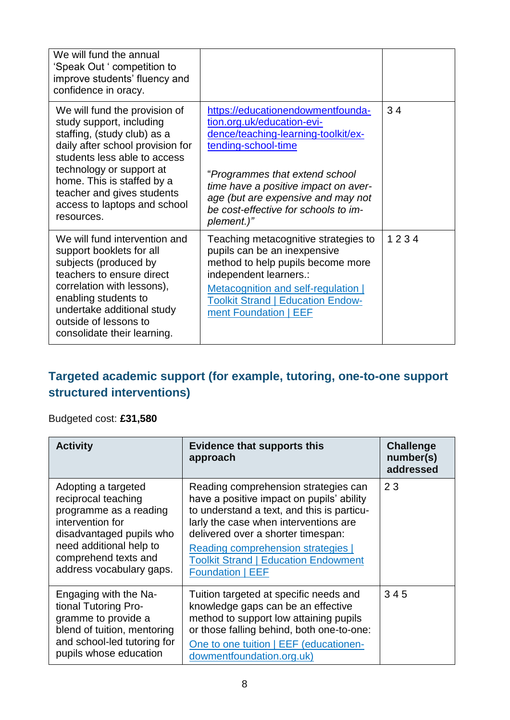| We will fund the annual<br>'Speak Out ' competition to<br>improve students' fluency and<br>confidence in oracy.                                                                                                                                                                                    |                                                                                                                                                                                                                                                                                                     |      |
|----------------------------------------------------------------------------------------------------------------------------------------------------------------------------------------------------------------------------------------------------------------------------------------------------|-----------------------------------------------------------------------------------------------------------------------------------------------------------------------------------------------------------------------------------------------------------------------------------------------------|------|
| We will fund the provision of<br>study support, including<br>staffing, (study club) as a<br>daily after school provision for<br>students less able to access<br>technology or support at<br>home. This is staffed by a<br>teacher and gives students<br>access to laptops and school<br>resources. | https://educationendowmentfounda-<br>tion.org.uk/education-evi-<br>dence/teaching-learning-toolkit/ex-<br>tending-school-time<br>"Programmes that extend school<br>time have a positive impact on aver-<br>age (but are expensive and may not<br>be cost-effective for schools to im-<br>plement.)" | 34   |
| We will fund intervention and<br>support booklets for all<br>subjects (produced by<br>teachers to ensure direct<br>correlation with lessons),<br>enabling students to<br>undertake additional study<br>outside of lessons to<br>consolidate their learning.                                        | Teaching metacognitive strategies to<br>pupils can be an inexpensive<br>method to help pupils become more<br>independent learners.:<br>Metacognition and self-regulation  <br><b>Toolkit Strand   Education Endow-</b><br>ment Foundation   EEF                                                     | 1234 |

#### **Targeted academic support (for example, tutoring, one-to-one support structured interventions)**

#### Budgeted cost: **£31,580**

| <b>Activity</b>                                                                                                                                                                                     | <b>Evidence that supports this</b><br>approach                                                                                                                                                                                                                                                                                 | <b>Challenge</b><br>number(s)<br>addressed |
|-----------------------------------------------------------------------------------------------------------------------------------------------------------------------------------------------------|--------------------------------------------------------------------------------------------------------------------------------------------------------------------------------------------------------------------------------------------------------------------------------------------------------------------------------|--------------------------------------------|
| Adopting a targeted<br>reciprocal teaching<br>programme as a reading<br>intervention for<br>disadvantaged pupils who<br>need additional help to<br>comprehend texts and<br>address vocabulary gaps. | Reading comprehension strategies can<br>have a positive impact on pupils' ability<br>to understand a text, and this is particu-<br>larly the case when interventions are<br>delivered over a shorter timespan:<br>Reading comprehension strategies  <br><b>Toolkit Strand   Education Endowment</b><br><b>Foundation   EEF</b> | 23                                         |
| Engaging with the Na-<br>tional Tutoring Pro-<br>gramme to provide a<br>blend of tuition, mentoring<br>and school-led tutoring for<br>pupils whose education                                        | Tuition targeted at specific needs and<br>knowledge gaps can be an effective<br>method to support low attaining pupils<br>or those falling behind, both one-to-one:<br>One to one tuition   EEF (educationen-<br>dowmentfoundation.org.uk)                                                                                     | 345                                        |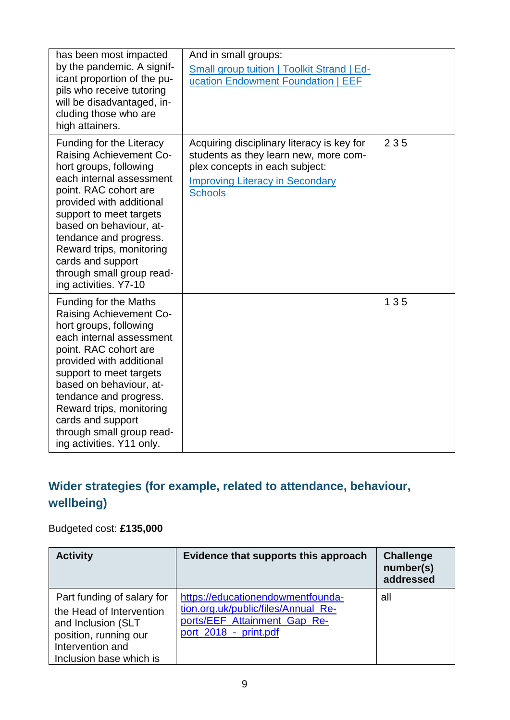| has been most impacted<br>by the pandemic. A signif-<br>icant proportion of the pu-<br>pils who receive tutoring<br>will be disadvantaged, in-<br>cluding those who are<br>high attainers.                                                                                                                                                                           | And in small groups:<br><b>Small group tuition   Toolkit Strand   Ed-</b><br>ucation Endowment Foundation   EEF                                                                   |     |
|----------------------------------------------------------------------------------------------------------------------------------------------------------------------------------------------------------------------------------------------------------------------------------------------------------------------------------------------------------------------|-----------------------------------------------------------------------------------------------------------------------------------------------------------------------------------|-----|
| Funding for the Literacy<br><b>Raising Achievement Co-</b><br>hort groups, following<br>each internal assessment<br>point. RAC cohort are<br>provided with additional<br>support to meet targets<br>based on behaviour, at-<br>tendance and progress.<br>Reward trips, monitoring<br>cards and support<br>through small group read-<br>ing activities. Y7-10         | Acquiring disciplinary literacy is key for<br>students as they learn new, more com-<br>plex concepts in each subject:<br><b>Improving Literacy in Secondary</b><br><b>Schools</b> | 235 |
| <b>Funding for the Maths</b><br><b>Raising Achievement Co-</b><br>hort groups, following<br>each internal assessment<br>point. RAC cohort are<br>provided with additional<br>support to meet targets<br>based on behaviour, at-<br>tendance and progress.<br>Reward trips, monitoring<br>cards and support<br>through small group read-<br>ing activities. Y11 only. |                                                                                                                                                                                   | 135 |

#### **Wider strategies (for example, related to attendance, behaviour, wellbeing)**

#### Budgeted cost: **£135,000**

| <b>Activity</b>                                                                                                                                      | Evidence that supports this approach                                                                                              | <b>Challenge</b><br>number(s)<br>addressed |
|------------------------------------------------------------------------------------------------------------------------------------------------------|-----------------------------------------------------------------------------------------------------------------------------------|--------------------------------------------|
| Part funding of salary for<br>the Head of Intervention<br>and Inclusion (SLT<br>position, running our<br>Intervention and<br>Inclusion base which is | https://educationendowmentfounda-<br>tion.org.uk/public/files/Annual_Re-<br>ports/EEF_Attainment_Gap_Re-<br>port 2018 - print.pdf | all                                        |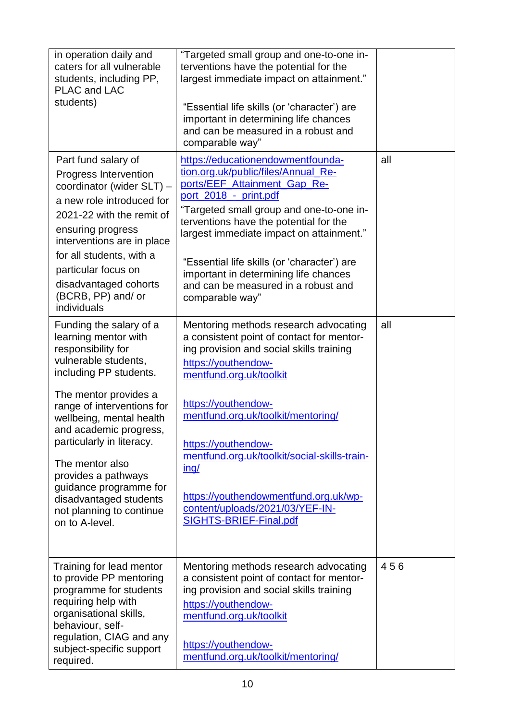| in operation daily and<br>caters for all vulnerable<br>students, including PP,<br>PLAC and LAC<br>students)                                                                                                                                                                                                                                                                                                   | "Targeted small group and one-to-one in-<br>terventions have the potential for the<br>largest immediate impact on attainment."<br>"Essential life skills (or 'character') are<br>important in determining life chances<br>and can be measured in a robust and<br>comparable way"                                                                                                                                                   |     |
|---------------------------------------------------------------------------------------------------------------------------------------------------------------------------------------------------------------------------------------------------------------------------------------------------------------------------------------------------------------------------------------------------------------|------------------------------------------------------------------------------------------------------------------------------------------------------------------------------------------------------------------------------------------------------------------------------------------------------------------------------------------------------------------------------------------------------------------------------------|-----|
| Part fund salary of<br>Progress Intervention<br>coordinator (wider SLT) -<br>a new role introduced for<br>2021-22 with the remit of<br>ensuring progress<br>interventions are in place<br>for all students, with a<br>particular focus on<br>disadvantaged cohorts<br>(BCRB, PP) and/ or<br>individuals                                                                                                       | https://educationendowmentfounda-<br>tion.org.uk/public/files/Annual_Re-<br>ports/EEF_Attainment_Gap_Re-<br>port 2018 - print.pdf<br>"Targeted small group and one-to-one in-<br>terventions have the potential for the<br>largest immediate impact on attainment."<br>"Essential life skills (or 'character') are<br>important in determining life chances<br>and can be measured in a robust and<br>comparable way"              | all |
| Funding the salary of a<br>learning mentor with<br>responsibility for<br>vulnerable students,<br>including PP students.<br>The mentor provides a<br>range of interventions for<br>wellbeing, mental health<br>and academic progress,<br>particularly in literacy.<br>The mentor also<br>provides a pathways<br>guidance programme for<br>disadvantaged students<br>not planning to continue<br>on to A-level. | Mentoring methods research advocating<br>a consistent point of contact for mentor-<br>ing provision and social skills training<br>https://youthendow-<br>mentfund.org.uk/toolkit<br>https://youthendow-<br>mentfund.org.uk/toolkit/mentoring/<br>https://youthendow-<br>mentfund.org.uk/toolkit/social-skills-train-<br>ing/<br>https://youthendowmentfund.org.uk/wp-<br>content/uploads/2021/03/YEF-IN-<br>SIGHTS-BRIEF-Final.pdf | all |
| Training for lead mentor<br>to provide PP mentoring<br>programme for students<br>requiring help with<br>organisational skills,<br>behaviour, self-<br>regulation, CIAG and any<br>subject-specific support<br>required.                                                                                                                                                                                       | Mentoring methods research advocating<br>a consistent point of contact for mentor-<br>ing provision and social skills training<br>https://youthendow-<br>mentfund.org.uk/toolkit<br>https://youthendow-<br>mentfund.org.uk/toolkit/mentoring/                                                                                                                                                                                      | 456 |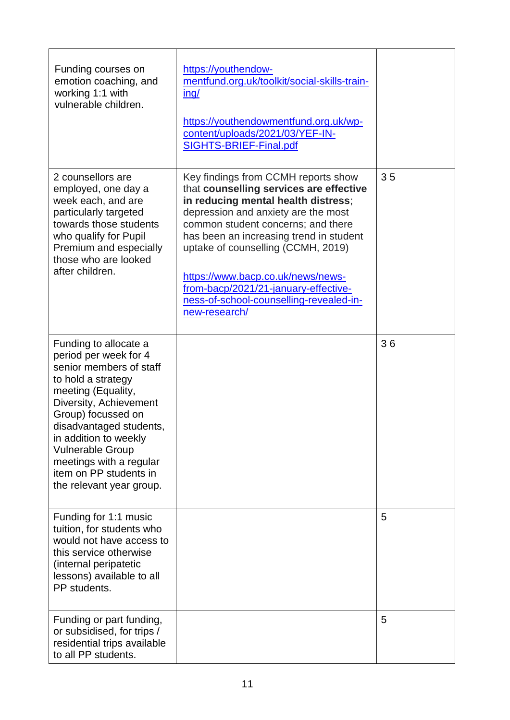| Funding courses on<br>emotion coaching, and<br>working 1:1 with<br>vulnerable children.                                                                                                                                                                                                                                               | https://youthendow-<br>mentfund.org.uk/toolkit/social-skills-train-<br>$\frac{inq}{ }$<br>https://youthendowmentfund.org.uk/wp-<br>content/uploads/2021/03/YEF-IN-<br>SIGHTS-BRIEF-Final.pdf                                                                                                                                                                                                                                 |    |
|---------------------------------------------------------------------------------------------------------------------------------------------------------------------------------------------------------------------------------------------------------------------------------------------------------------------------------------|------------------------------------------------------------------------------------------------------------------------------------------------------------------------------------------------------------------------------------------------------------------------------------------------------------------------------------------------------------------------------------------------------------------------------|----|
| 2 counsellors are<br>employed, one day a<br>week each, and are<br>particularly targeted<br>towards those students<br>who qualify for Pupil<br>Premium and especially<br>those who are looked<br>after children.                                                                                                                       | Key findings from CCMH reports show<br>that counselling services are effective<br>in reducing mental health distress;<br>depression and anxiety are the most<br>common student concerns; and there<br>has been an increasing trend in student<br>uptake of counselling (CCMH, 2019)<br>https://www.bacp.co.uk/news/news-<br>from-bacp/2021/21-january-effective-<br>ness-of-school-counselling-revealed-in-<br>new-research/ | 35 |
| Funding to allocate a<br>period per week for 4<br>senior members of staff<br>to hold a strategy<br>meeting (Equality,<br>Diversity, Achievement<br>Group) focussed on<br>disadvantaged students,<br>in addition to weekly<br><b>Vulnerable Group</b><br>meetings with a regular<br>item on PP students in<br>the relevant year group. |                                                                                                                                                                                                                                                                                                                                                                                                                              | 36 |
| Funding for 1:1 music<br>tuition, for students who<br>would not have access to<br>this service otherwise<br>(internal peripatetic<br>lessons) available to all<br>PP students.                                                                                                                                                        |                                                                                                                                                                                                                                                                                                                                                                                                                              | 5  |
| Funding or part funding,<br>or subsidised, for trips /<br>residential trips available<br>to all PP students.                                                                                                                                                                                                                          |                                                                                                                                                                                                                                                                                                                                                                                                                              | 5  |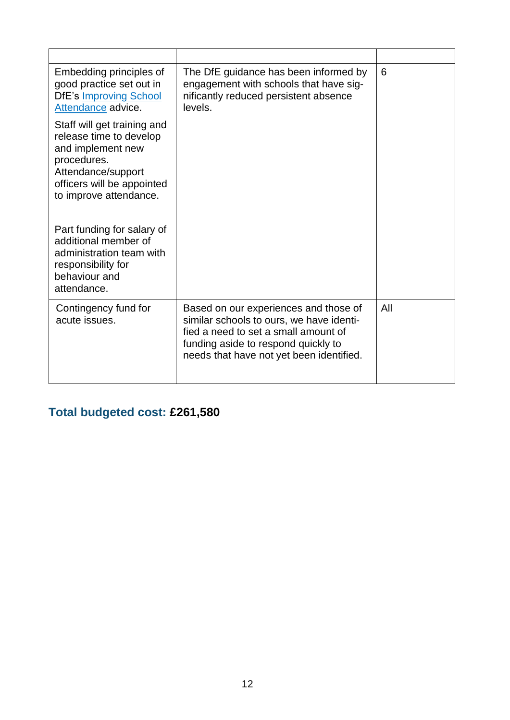| Embedding principles of<br>good practice set out in<br><b>DfE's Improving School</b><br>Attendance advice.                                                               | The DfE guidance has been informed by<br>engagement with schools that have sig-<br>nificantly reduced persistent absence<br>levels.                                                                          | 6   |
|--------------------------------------------------------------------------------------------------------------------------------------------------------------------------|--------------------------------------------------------------------------------------------------------------------------------------------------------------------------------------------------------------|-----|
| Staff will get training and<br>release time to develop<br>and implement new<br>procedures.<br>Attendance/support<br>officers will be appointed<br>to improve attendance. |                                                                                                                                                                                                              |     |
| Part funding for salary of<br>additional member of<br>administration team with<br>responsibility for<br>behaviour and<br>attendance.                                     |                                                                                                                                                                                                              |     |
| Contingency fund for<br>acute issues.                                                                                                                                    | Based on our experiences and those of<br>similar schools to ours, we have identi-<br>fied a need to set a small amount of<br>funding aside to respond quickly to<br>needs that have not yet been identified. | All |

### **Total budgeted cost: £261,580**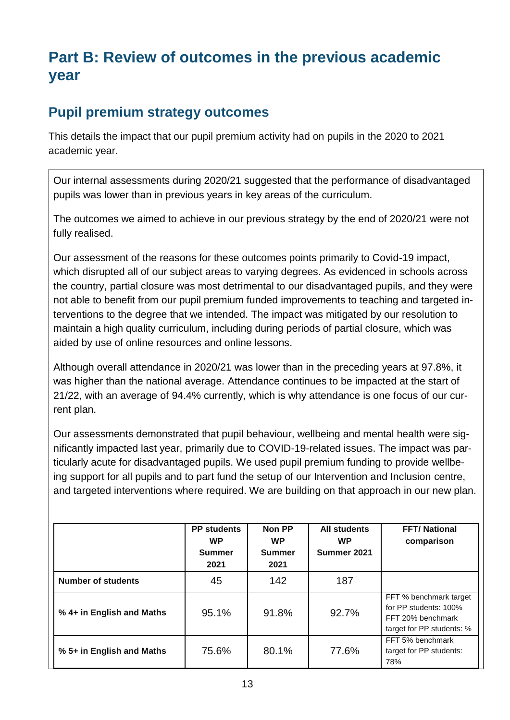### **Part B: Review of outcomes in the previous academic year**

#### **Pupil premium strategy outcomes**

This details the impact that our pupil premium activity had on pupils in the 2020 to 2021 academic year.

Our internal assessments during 2020/21 suggested that the performance of disadvantaged pupils was lower than in previous years in key areas of the curriculum.

The outcomes we aimed to achieve in our previous strategy by the end of 2020/21 were not fully realised.

Our assessment of the reasons for these outcomes points primarily to Covid-19 impact, which disrupted all of our subject areas to varying degrees. As evidenced in schools across the country, partial closure was most detrimental to our disadvantaged pupils, and they were not able to benefit from our pupil premium funded improvements to teaching and targeted interventions to the degree that we intended. The impact was mitigated by our resolution to maintain a high quality curriculum, including during periods of partial closure, which was aided by use of online resources and online lessons.

Although overall attendance in 2020/21 was lower than in the preceding years at 97.8%, it was higher than the national average. Attendance continues to be impacted at the start of 21/22, with an average of 94.4% currently, which is why attendance is one focus of our current plan.

Our assessments demonstrated that pupil behaviour, wellbeing and mental health were significantly impacted last year, primarily due to COVID-19-related issues. The impact was particularly acute for disadvantaged pupils. We used pupil premium funding to provide wellbeing support for all pupils and to part fund the setup of our Intervention and Inclusion centre, and targeted interventions where required. We are building on that approach in our new plan.

|                           | <b>PP</b> students<br><b>WP</b><br><b>Summer</b><br>2021 | Non PP<br><b>WP</b><br><b>Summer</b><br>2021 | <b>All students</b><br><b>WP</b><br>Summer 2021 | <b>FFT/National</b><br>comparison                                                                 |
|---------------------------|----------------------------------------------------------|----------------------------------------------|-------------------------------------------------|---------------------------------------------------------------------------------------------------|
| <b>Number of students</b> | 45                                                       | 142                                          | 187                                             |                                                                                                   |
| % 4+ in English and Maths | 95.1%                                                    | 91.8%                                        | 92.7%                                           | FFT % benchmark target<br>for PP students: 100%<br>FFT 20% benchmark<br>target for PP students: % |
| % 5+ in English and Maths | 75.6%                                                    | 80.1%                                        | 77.6%                                           | FFT 5% benchmark<br>target for PP students:<br>78%                                                |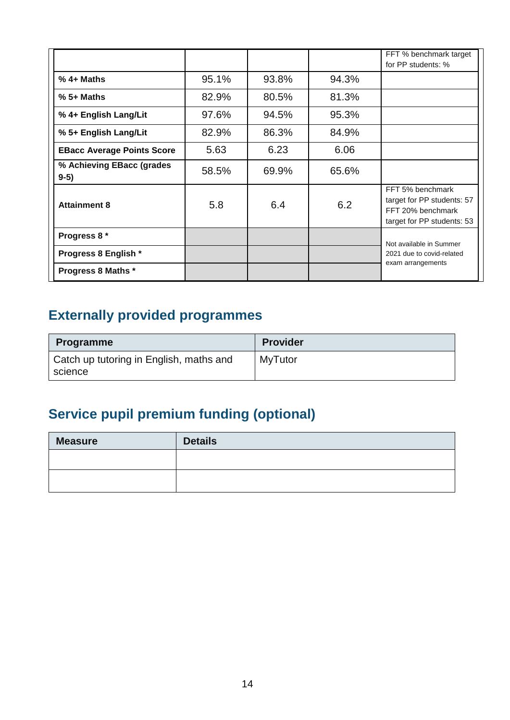|                                     |       |       |       | FFT % benchmark target<br>for PP students: %                                                      |
|-------------------------------------|-------|-------|-------|---------------------------------------------------------------------------------------------------|
| $%4+Maths$                          | 95.1% | 93.8% | 94.3% |                                                                                                   |
| $% 5 + Maths$                       | 82.9% | 80.5% | 81.3% |                                                                                                   |
| % 4+ English Lang/Lit               | 97.6% | 94.5% | 95.3% |                                                                                                   |
| % 5+ English Lang/Lit               | 82.9% | 86.3% | 84.9% |                                                                                                   |
| <b>EBacc Average Points Score</b>   | 5.63  | 6.23  | 6.06  |                                                                                                   |
| % Achieving EBacc (grades<br>$9-5)$ | 58.5% | 69.9% | 65.6% |                                                                                                   |
| <b>Attainment 8</b>                 | 5.8   | 6.4   | 6.2   | FFT 5% benchmark<br>target for PP students: 57<br>FFT 20% benchmark<br>target for PP students: 53 |
| Progress 8 *                        |       |       |       | Not available in Summer<br>2021 due to covid-related<br>exam arrangements                         |
| Progress 8 English *                |       |       |       |                                                                                                   |
| <b>Progress 8 Maths *</b>           |       |       |       |                                                                                                   |

### **Externally provided programmes**

| <b>Programme</b>                                   | <b>Provider</b> |
|----------------------------------------------------|-----------------|
| Catch up tutoring in English, maths and<br>science | <b>MyTutor</b>  |

# **Service pupil premium funding (optional)**

| <b>Measure</b> | <b>Details</b> |
|----------------|----------------|
|                |                |
|                |                |